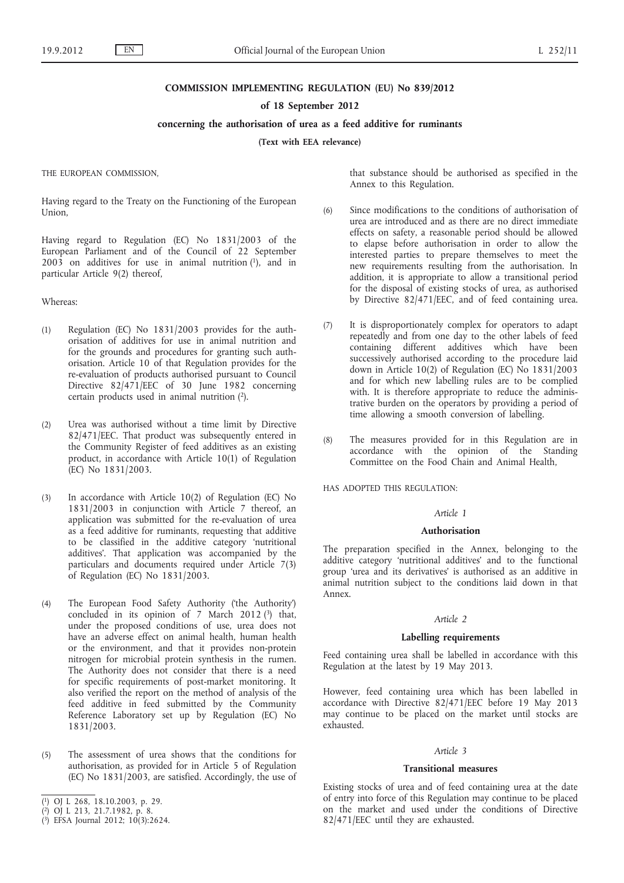#### **COMMISSION IMPLEMENTING REGULATION (EU) No 839/2012**

#### **of 18 September 2012**

## **concerning the authorisation of urea as a feed additive for ruminants**

**(Text with EEA relevance)**

THE EUROPEAN COMMISSION,

Having regard to the Treaty on the Functioning of the European Union,

Having regard to Regulation (EC) No 1831/2003 of the European Parliament and of the Council of 22 September  $200\overline{3}$  on additives for use in animal nutrition  $(1)$ , and in particular Article 9(2) thereof,

Whereas:

- (1) Regulation (EC) No 1831/2003 provides for the authorisation of additives for use in animal nutrition and for the grounds and procedures for granting such authorisation. Article 10 of that Regulation provides for the re-evaluation of products authorised pursuant to Council Directive 82/471/EEC of 30 June 1982 concerning certain products used in animal nutrition (2).
- (2) Urea was authorised without a time limit by Directive 82/471/EEC. That product was subsequently entered in the Community Register of feed additives as an existing product, in accordance with Article 10(1) of Regulation (EC) No 1831/2003.
- (3) In accordance with Article 10(2) of Regulation (EC) No 1831/2003 in conjunction with Article 7 thereof, an application was submitted for the re-evaluation of urea as a feed additive for ruminants, requesting that additive to be classified in the additive category 'nutritional additives'. That application was accompanied by the particulars and documents required under Article 7(3) of Regulation (EC) No 1831/2003.
- (4) The European Food Safety Authority ('the Authority') concluded in its opinion of 7 March 2012 $(3)$  that, under the proposed conditions of use, urea does not have an adverse effect on animal health, human health or the environment, and that it provides non-protein nitrogen for microbial protein synthesis in the rumen. The Authority does not consider that there is a need for specific requirements of post-market monitoring. It also verified the report on the method of analysis of the feed additive in feed submitted by the Community Reference Laboratory set up by Regulation (EC) No 1831/2003.
- (5) The assessment of urea shows that the conditions for authorisation, as provided for in Article 5 of Regulation (EC) No 1831/2003, are satisfied. Accordingly, the use of
- ( 1) OJ L 268, 18.10.2003, p. 29.
- ( 2) OJ L 213, 21.7.1982, p. 8.
- ( 3) EFSA Journal 2012; 10(3):2624.

that substance should be authorised as specified in the Annex to this Regulation.

- (6) Since modifications to the conditions of authorisation of urea are introduced and as there are no direct immediate effects on safety, a reasonable period should be allowed to elapse before authorisation in order to allow the interested parties to prepare themselves to meet the new requirements resulting from the authorisation. In addition, it is appropriate to allow a transitional period for the disposal of existing stocks of urea, as authorised by Directive 82/471/EEC, and of feed containing urea.
- (7) It is disproportionately complex for operators to adapt repeatedly and from one day to the other labels of feed containing different additives which have been successively authorised according to the procedure laid down in Article 10(2) of Regulation (EC) No 1831/2003 and for which new labelling rules are to be complied with. It is therefore appropriate to reduce the administrative burden on the operators by providing a period of time allowing a smooth conversion of labelling.
- (8) The measures provided for in this Regulation are in accordance with the opinion of the Standing Committee on the Food Chain and Animal Health,

HAS ADOPTED THIS REGULATION:

#### *Article 1*

#### **Authorisation**

The preparation specified in the Annex, belonging to the additive category 'nutritional additives' and to the functional group 'urea and its derivatives' is authorised as an additive in animal nutrition subject to the conditions laid down in that Annex.

### *Article 2*

### **Labelling requirements**

Feed containing urea shall be labelled in accordance with this Regulation at the latest by 19 May 2013.

However, feed containing urea which has been labelled in accordance with Directive 82/471/EEC before 19 May 2013 may continue to be placed on the market until stocks are exhausted.

## *Article 3*

#### **Transitional measures**

Existing stocks of urea and of feed containing urea at the date of entry into force of this Regulation may continue to be placed on the market and used under the conditions of Directive 82/471/EEC until they are exhausted.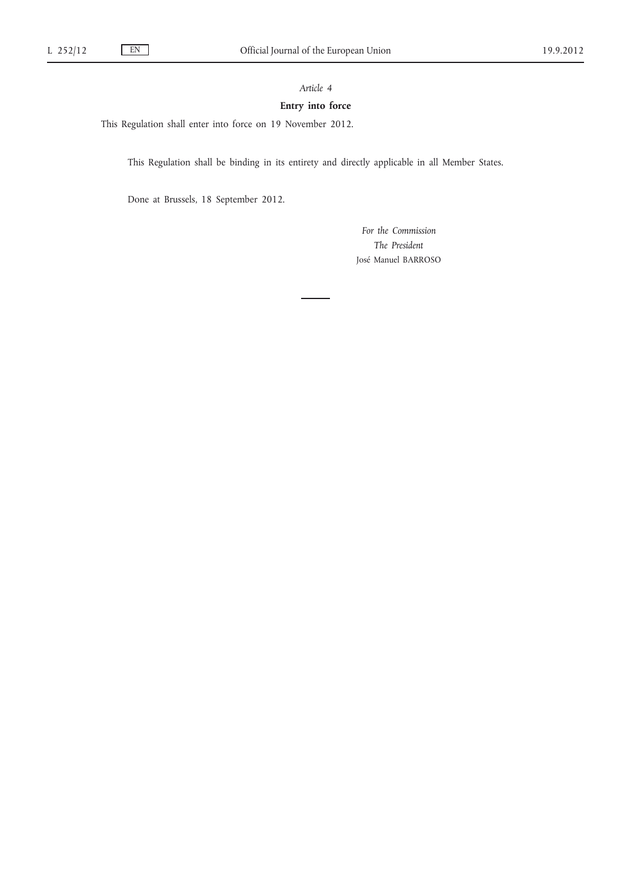# *Article 4*

# **Entry into force**

This Regulation shall enter into force on 19 November 2012.

This Regulation shall be binding in its entirety and directly applicable in all Member States.

Done at Brussels, 18 September 2012.

*For the Commission The President* José Manuel BARROSO